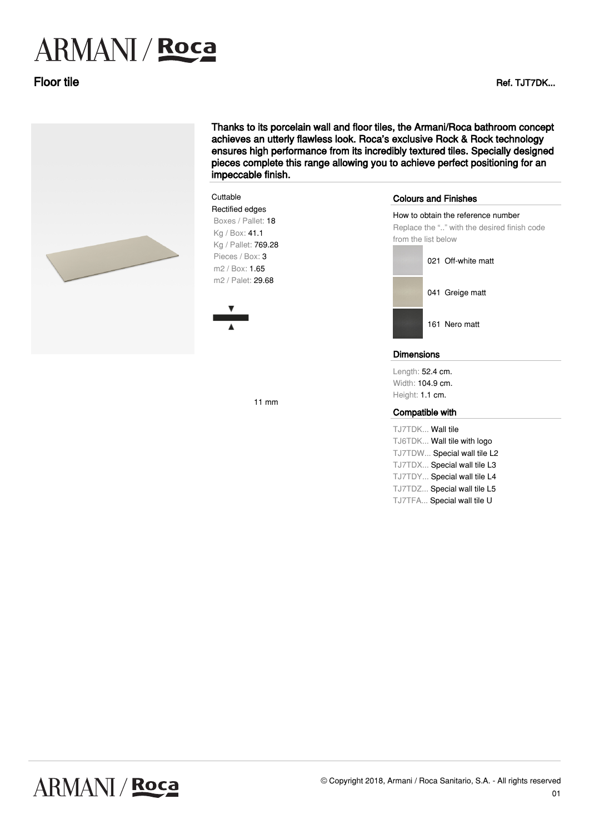# **ARMANI** / Roca

Floor tile Ref. Turns and the Ref. Turns and the Ref. Turns and the Ref. Turns and the Ref. Turns and the Ref.



**Cuttable** 

11 mm

Thanks to its porcelain wall and floor tiles, the Armani/Roca bathroom concept achieves an utterly flawless look. Roca's exclusive Rock & Rock technology ensures high performance from its incredibly textured tiles. Specially designed pieces complete this range allowing you to achieve perfect positioning for an impeccable finish.

### Rectified edges Boxes / Pallet: 18 ·Kg / Box: 41.1 ·Kg / Pallet: 769.28 Pieces / Box: 3 ·m2 / Box: 1.65 m2 / Palet: 29.68 Colours and Finishes How to obtain the reference number Replace the ".." with the desired finish code from the list below 021 Off-white matt 041 Greige matt 161 Nero matt Dimensions Length: 52.4 cm.

Width: 104.9 cm. Height: 1.1 cm.

### Compatible with

TJ7TDK... Wall tile TJ6TDK... Wall tile with logo TJ7TDW... Special wall tile L2 TJ7TDX... Special wall tile L3 TJ7TDY... Special wall tile L4 TJ7TDZ... Special wall tile L5 TJ7TFA... Special wall tile U

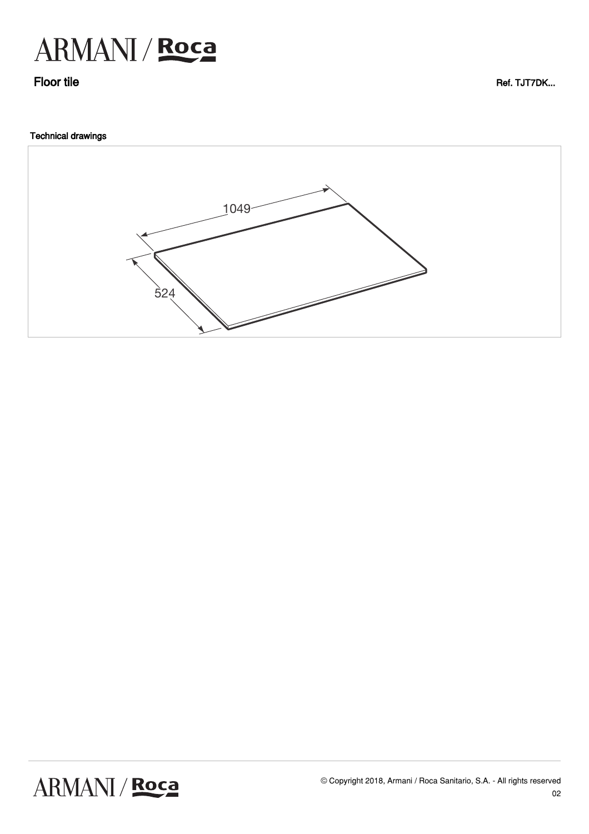

Floor tile **Ref. TJT7DK...** 

## Technical drawings